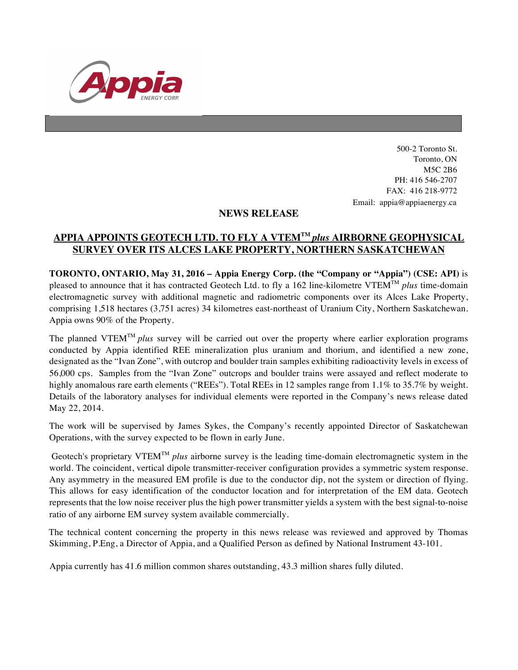

500-2 Toronto St. Toronto, ON M5C 2B6 PH: 416 546-2707 FAX: 416 218-9772 Email: appia@appiaenergy.ca

## **NEWS RELEASE**

## **APPIA APPOINTS GEOTECH LTD. TO FLY A VTEMTM** *plus* **AIRBORNE GEOPHYSICAL SURVEY OVER ITS ALCES LAKE PROPERTY, NORTHERN SASKATCHEWAN**

**TORONTO, ONTARIO, May 31, 2016 – Appia Energy Corp. (the "Company or "Appia") (CSE: API)** is pleased to announce that it has contracted Geotech Ltd. to fly a 162 line-kilometre VTEMTM *plus* time-domain electromagnetic survey with additional magnetic and radiometric components over its Alces Lake Property, comprising 1,518 hectares (3,751 acres) 34 kilometres east-northeast of Uranium City, Northern Saskatchewan. Appia owns 90% of the Property.

The planned VTEMTM *plus* survey will be carried out over the property where earlier exploration programs conducted by Appia identified REE mineralization plus uranium and thorium, and identified a new zone, designated as the "Ivan Zone", with outcrop and boulder train samples exhibiting radioactivity levels in excess of 56,000 cps. Samples from the "Ivan Zone" outcrops and boulder trains were assayed and reflect moderate to highly anomalous rare earth elements ("REEs"). Total REEs in 12 samples range from 1.1% to 35.7% by weight. Details of the laboratory analyses for individual elements were reported in the Company's news release dated May 22, 2014.

The work will be supervised by James Sykes, the Company's recently appointed Director of Saskatchewan Operations, with the survey expected to be flown in early June.

Geotech's proprietary VTEMTM *plus* airborne survey is the leading time-domain electromagnetic system in the world. The coincident, vertical dipole transmitter-receiver configuration provides a symmetric system response. Any asymmetry in the measured EM profile is due to the conductor dip, not the system or direction of flying. This allows for easy identification of the conductor location and for interpretation of the EM data. Geotech represents that the low noise receiver plus the high power transmitter yields a system with the best signal-to-noise ratio of any airborne EM survey system available commercially.

The technical content concerning the property in this news release was reviewed and approved by Thomas Skimming, P.Eng, a Director of Appia, and a Qualified Person as defined by National Instrument 43-101.

Appia currently has 41.6 million common shares outstanding, 43.3 million shares fully diluted.